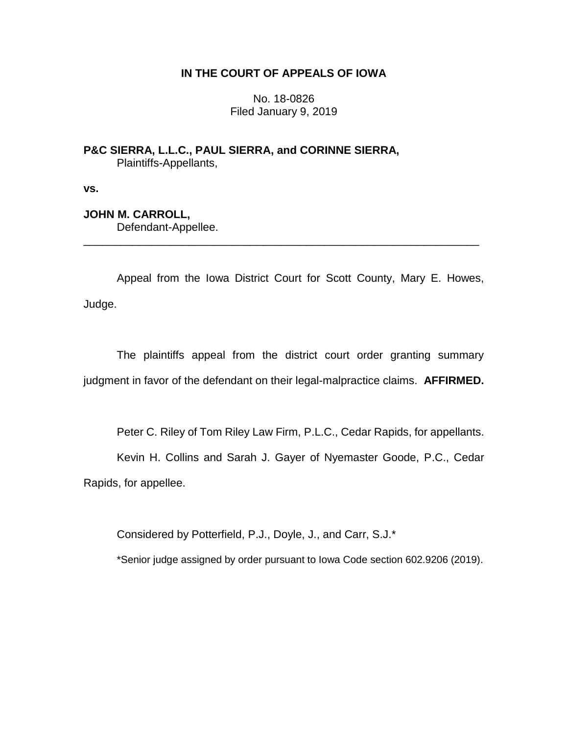## **IN THE COURT OF APPEALS OF IOWA**

No. 18-0826 Filed January 9, 2019

**P&C SIERRA, L.L.C., PAUL SIERRA, and CORINNE SIERRA,** Plaintiffs-Appellants,

**vs.**

## **JOHN M. CARROLL,**

Defendant-Appellee.

Appeal from the Iowa District Court for Scott County, Mary E. Howes, Judge.

\_\_\_\_\_\_\_\_\_\_\_\_\_\_\_\_\_\_\_\_\_\_\_\_\_\_\_\_\_\_\_\_\_\_\_\_\_\_\_\_\_\_\_\_\_\_\_\_\_\_\_\_\_\_\_\_\_\_\_\_\_\_\_\_

The plaintiffs appeal from the district court order granting summary judgment in favor of the defendant on their legal-malpractice claims. **AFFIRMED.**

Peter C. Riley of Tom Riley Law Firm, P.L.C., Cedar Rapids, for appellants.

Kevin H. Collins and Sarah J. Gayer of Nyemaster Goode, P.C., Cedar Rapids, for appellee.

Considered by Potterfield, P.J., Doyle, J., and Carr, S.J.\*

\*Senior judge assigned by order pursuant to Iowa Code section 602.9206 (2019).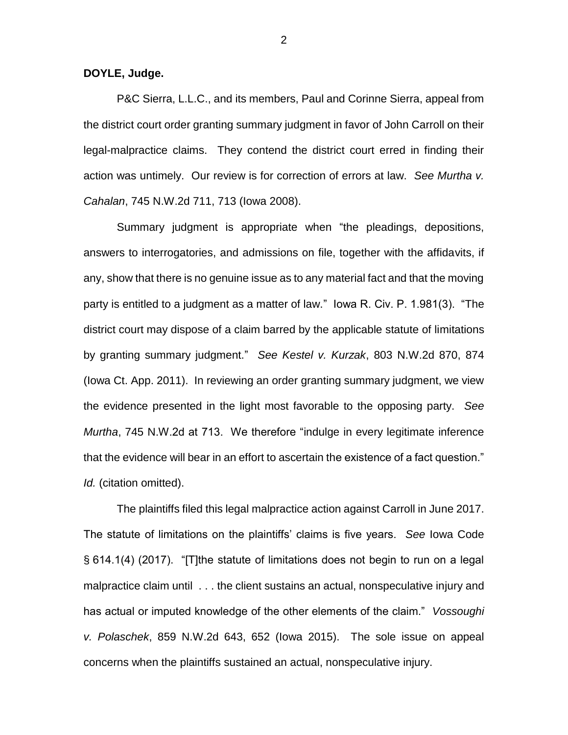**DOYLE, Judge.**

P&C Sierra, L.L.C., and its members, Paul and Corinne Sierra, appeal from the district court order granting summary judgment in favor of John Carroll on their legal-malpractice claims. They contend the district court erred in finding their action was untimely. Our review is for correction of errors at law. *See Murtha v. Cahalan*, 745 N.W.2d 711, 713 (Iowa 2008).

Summary judgment is appropriate when "the pleadings, depositions, answers to interrogatories, and admissions on file, together with the affidavits, if any, show that there is no genuine issue as to any material fact and that the moving party is entitled to a judgment as a matter of law." Iowa R. Civ. P. 1.981(3). "The district court may dispose of a claim barred by the applicable statute of limitations by granting summary judgment." *See Kestel v. Kurzak*, 803 N.W.2d 870, 874 (Iowa Ct. App. 2011). In reviewing an order granting summary judgment, we view the evidence presented in the light most favorable to the opposing party. *See Murtha*, 745 N.W.2d at 713. We therefore "indulge in every legitimate inference that the evidence will bear in an effort to ascertain the existence of a fact question." *Id.* (citation omitted).

The plaintiffs filed this legal malpractice action against Carroll in June 2017. The statute of limitations on the plaintiffs' claims is five years. *See* Iowa Code § 614.1(4) (2017). "[T]the statute of limitations does not begin to run on a legal malpractice claim until . . . the client sustains an actual, nonspeculative injury and has actual or imputed knowledge of the other elements of the claim." *Vossoughi v. Polaschek*, 859 N.W.2d 643, 652 (Iowa 2015). The sole issue on appeal concerns when the plaintiffs sustained an actual, nonspeculative injury.

2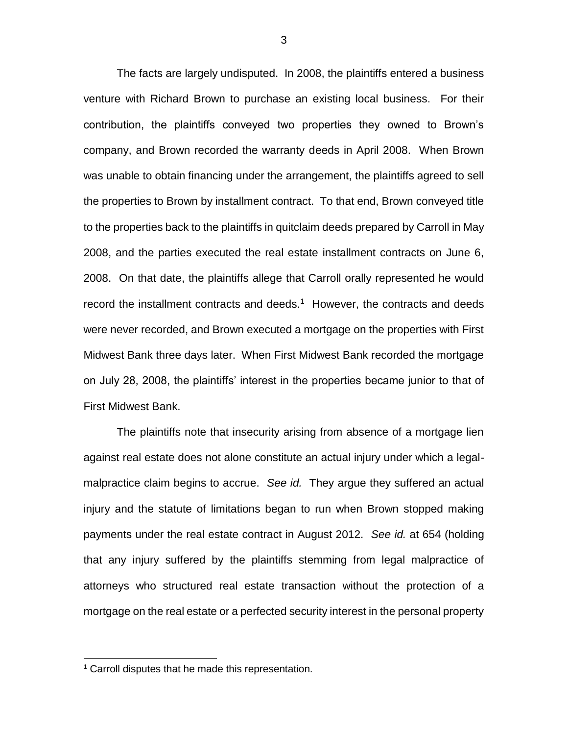The facts are largely undisputed. In 2008, the plaintiffs entered a business venture with Richard Brown to purchase an existing local business. For their contribution, the plaintiffs conveyed two properties they owned to Brown's company, and Brown recorded the warranty deeds in April 2008. When Brown was unable to obtain financing under the arrangement, the plaintiffs agreed to sell the properties to Brown by installment contract. To that end, Brown conveyed title to the properties back to the plaintiffs in quitclaim deeds prepared by Carroll in May 2008, and the parties executed the real estate installment contracts on June 6, 2008. On that date, the plaintiffs allege that Carroll orally represented he would record the installment contracts and deeds. $1$  However, the contracts and deeds were never recorded, and Brown executed a mortgage on the properties with First Midwest Bank three days later. When First Midwest Bank recorded the mortgage on July 28, 2008, the plaintiffs' interest in the properties became junior to that of First Midwest Bank.

The plaintiffs note that insecurity arising from absence of a mortgage lien against real estate does not alone constitute an actual injury under which a legalmalpractice claim begins to accrue. *See id.* They argue they suffered an actual injury and the statute of limitations began to run when Brown stopped making payments under the real estate contract in August 2012. *See id.* at 654 (holding that any injury suffered by the plaintiffs stemming from legal malpractice of attorneys who structured real estate transaction without the protection of a mortgage on the real estate or a perfected security interest in the personal property

 $\overline{a}$ 

<sup>&</sup>lt;sup>1</sup> Carroll disputes that he made this representation.